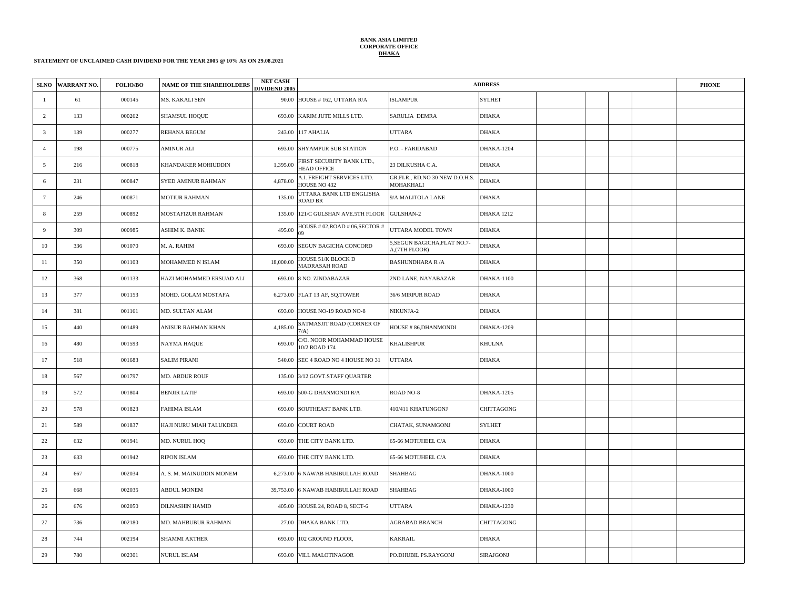| <b>SLNO</b>             | <b>WARRANT NO.</b> | <b>FOLIO/BO</b> | <b>NAME OF THE SHAREHOLDERS</b> | <b>NET CASH</b><br><b>DIVIDEND 2005</b> | <b>ADDRESS</b>                                  |                                              |                   |  |  |  | <b>PHONE</b> |  |
|-------------------------|--------------------|-----------------|---------------------------------|-----------------------------------------|-------------------------------------------------|----------------------------------------------|-------------------|--|--|--|--------------|--|
| $\overline{1}$          | 61                 | 000145          | MS. KAKALI SEN                  | 90.00                                   | HOUSE #162, UTTARA R/A                          | <b>ISLAMPUR</b>                              | <b>SYLHET</b>     |  |  |  |              |  |
| 2                       | 133                | 000262          | SHAMSUL HOQUE                   | 693.00                                  | KARIM JUTE MILLS LTD.                           | SARULIA DEMRA                                | <b>DHAKA</b>      |  |  |  |              |  |
| $\overline{\mathbf{3}}$ | 139                | 000277          | REHANA BEGUM                    |                                         | 243.00 117 AHALIA                               | <b>UTTARA</b>                                | DHAKA             |  |  |  |              |  |
| $\overline{4}$          | 198                | 000775          | AMINUR ALI                      |                                         | 693.00 SHYAMPUR SUB STATION                     | P.O. - FARIDABAD                             | DHAKA-1204        |  |  |  |              |  |
| 5                       | 216                | 000818          | KHANDAKER MOHIUDDIN             | 1,395.00                                | FIRST SECURITY BANK LTD.,<br><b>HEAD OFFICE</b> | 23 DILKUSHA C.A.                             | DHAKA             |  |  |  |              |  |
| 6                       | 231                | 000847          | SYED AMINUR RAHMAN              | 4,878.00                                | A.I. FREIGHT SERVICES LTD.<br>HOUSE NO 432      | GR.FLR., RD.NO 30 NEW D.O.H.S.<br>MOHAKHALI  | <b>DHAKA</b>      |  |  |  |              |  |
| $\overline{7}$          | 246                | 000871          | <b>MOTIUR RAHMAN</b>            | 135.00                                  | UTTARA BANK LTD ENGLISHA<br><b>ROAD BR</b>      | 9/A MALITOLA LANE                            | <b>DHAKA</b>      |  |  |  |              |  |
| 8                       | 259                | 000892          | MOSTAFIZUR RAHMAN               | 135.00                                  | 121/C GULSHAN AVE.5TH FLOOR                     | <b>GULSHAN-2</b>                             | DHAKA 1212        |  |  |  |              |  |
| $\overline{9}$          | 309                | 000985          | ASHIM K. BANIK                  | 495.00                                  | HOUSE # 02,ROAD # 06,SECTOR #<br>9              | UTTARA MODEL TOWN                            | DHAKA             |  |  |  |              |  |
| 10                      | 336                | 001070          | M. A. RAHIM                     | 693.00                                  | <b>SEGUN BAGICHA CONCORD</b>                    | 5,SEGUN BAGICHA,FLAT NO.7-<br>A, (7TH FLOOR) | DHAKA             |  |  |  |              |  |
| 11                      | 350                | 001103          | MOHAMMED N ISLAM                | 18,000.00                               | HOUSE 51/K BLOCK D<br><b>MADRASAH ROAD</b>      | <b>BASHUNDHARA R/A</b>                       | <b>DHAKA</b>      |  |  |  |              |  |
| 12                      | 368                | 001133          | HAZI MOHAMMED ERSUAD ALI        |                                         | 693.00 8 NO. ZINDABAZAR                         | 2ND LANE, NAYABAZAR                          | DHAKA-1100        |  |  |  |              |  |
| 13                      | 377                | 001153          | MOHD. GOLAM MOSTAFA             |                                         | 6,273.00 FLAT 13 AF, SO.TOWER                   | 36/6 MIRPUR ROAD                             | DHAKA             |  |  |  |              |  |
| 14                      | 381                | 001161          | MD. SULTAN ALAM                 | 693.00                                  | HOUSE NO-19 ROAD NO-8                           | NIKUNJA-2                                    | <b>DHAKA</b>      |  |  |  |              |  |
| 15                      | 440                | 001489          | ANISUR RAHMAN KHAN              | 4,185.00                                | SATMASJIT ROAD (CORNER OF<br>7/A)               | HOUSE #86, DHANMONDI                         | DHAKA-1209        |  |  |  |              |  |
| 16                      | 480                | 001593          | NAYMA HAQUE                     | 693.00                                  | C/O. NOOR MOHAMMAD HOUSE<br>10/2 ROAD 174       | KHALISHPUR                                   | <b>KHULNA</b>     |  |  |  |              |  |
| 17                      | 518                | 001683          | <b>SALIM PIRANI</b>             | 540.00                                  | SEC 4 ROAD NO 4 HOUSE NO 31                     | <b>UTTARA</b>                                | DHAKA             |  |  |  |              |  |
| 18                      | 567                | 001797          | MD. ABDUR ROUF                  |                                         | 135.00 3/12 GOVT.STAFF QUARTER                  |                                              |                   |  |  |  |              |  |
| 19                      | 572                | 001804          | <b>BENJIR LATIF</b>             | 693.00                                  | 500-G DHANMONDI R/A                             | ROAD NO-8                                    | DHAKA-1205        |  |  |  |              |  |
| 20                      | 578                | 001823          | FAHIMA ISLAM                    |                                         | 693.00 SOUTHEAST BANK LTD.                      | 410/411 KHATUNGONJ                           | CHITTAGONG        |  |  |  |              |  |
| 21                      | 589                | 001837          | HAJI NURU MIAH TALUKDER         | 693.00                                  | <b>COURT ROAD</b>                               | CHATAK, SUNAMGONJ                            | SYLHET            |  |  |  |              |  |
| 22                      | 632                | 001941          | MD. NURUL HOQ                   |                                         | 693.00 THE CITY BANK LTD.                       | 65-66 MOTIJHEEL C/A                          | <b>DHAKA</b>      |  |  |  |              |  |
| 23                      | 633                | 001942          | <b>RIPON ISLAM</b>              | 693.00                                  | THE CITY BANK LTD.                              | 65-66 MOTIJHEEL C/A                          | DHAKA             |  |  |  |              |  |
| 24                      | 667                | 002034          | A. S. M. MAINUDDIN MONEM        | 6,273.00                                | <b>6 NAWAB HABIBULLAH ROAD</b>                  | SHAHBAG                                      | <b>DHAKA-1000</b> |  |  |  |              |  |
| 25                      | 668                | 002035          | <b>ABDUL MONEM</b>              | 39,753.00                               | <b>6 NAWAB HABIBULLAH ROAD</b>                  | SHAHBAG                                      | DHAKA-1000        |  |  |  |              |  |
| 26                      | 676                | 002050          | <b>DILNASHIN HAMID</b>          | 405.00                                  | HOUSE 24, ROAD 8, SECT-6                        | <b>UTTARA</b>                                | DHAKA-1230        |  |  |  |              |  |
| 27                      | 736                | 002180          | MD. MAHBUBUR RAHMAN             | 27.00                                   | DHAKA BANK LTD.                                 | AGRABAD BRANCH                               | CHITTAGONG        |  |  |  |              |  |
| 28                      | 744                | 002194          | <b>SHAMMI AKTHER</b>            | 693.00                                  | 102 GROUND FLOOR,                               | <b>KAKRAIL</b>                               | <b>DHAKA</b>      |  |  |  |              |  |
| 29                      | 780                | 002301          | NURUL ISLAM                     |                                         | 693.00 VILL MALOTINAGOR                         | PO.DHUBIL PS.RAYGONJ                         | SIRAJGONJ         |  |  |  |              |  |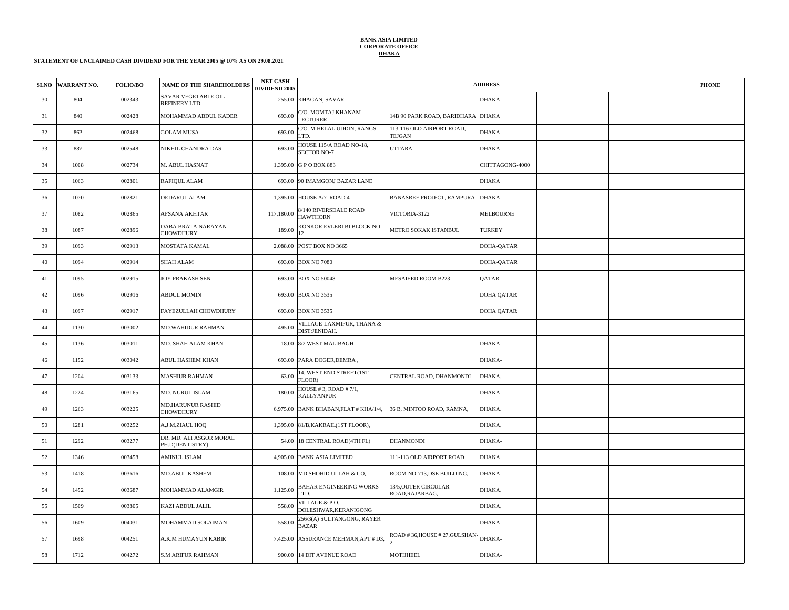| <b>SLNO</b> | <b>WARRANT NO.</b> | <b>FOLIO/BO</b> | <b>NAME OF THE SHAREHOLDERS</b>            | <b>NET CASH</b><br>DIVIDEND 2005 | <b>ADDRESS</b>                             |                                         |                 |  |  |  |  | <b>PHONE</b> |
|-------------|--------------------|-----------------|--------------------------------------------|----------------------------------|--------------------------------------------|-----------------------------------------|-----------------|--|--|--|--|--------------|
| 30          | 804                | 002343          | SAVAR VEGETABLE OIL<br>REFINERY LTD.       | 255.00                           | KHAGAN, SAVAR                              |                                         | DHAKA           |  |  |  |  |              |
| 31          | 840                | 002428          | MOHAMMAD ABDUL KADER                       | 693.00                           | C/O. MOMTAJ KHANAM<br>LECTURER             | 4B 90 PARK ROAD, BARIDHARA              | <b>DHAKA</b>    |  |  |  |  |              |
| 32          | 862                | 002468          | <b>GOLAM MUSA</b>                          | 693.00                           | C/O. M HELAL UDDIN, RANGS<br>LTD.          | 113-116 OLD AIRPORT ROAD,<br>TEJGAN     | <b>DHAKA</b>    |  |  |  |  |              |
| 33          | 887                | 002548          | NIKHIL CHANDRA DAS                         | 693.0                            | HOUSE 115/A ROAD NO-18,<br>SECTOR NO-7     | UTTARA                                  | DHAKA           |  |  |  |  |              |
| 34          | 1008               | 002734          | M. ABUL HASNAT                             | 1,395.00                         | G P O BOX 883                              |                                         | CHITTAGONG-4000 |  |  |  |  |              |
| 35          | 1063               | 002801          | RAFIQUL ALAM                               | 693.00                           | 90 IMAMGONJ BAZAR LANE                     |                                         | DHAKA           |  |  |  |  |              |
| 36          | 1070               | 002821          | DEDARUL ALAM                               | 1,395.00                         | HOUSE A/7 ROAD 4                           | BANASREE PROJECT, RAMPURA               | <b>DHAKA</b>    |  |  |  |  |              |
| 37          | 1082               | 002865          | AFSANA AKHTAR                              | 117,180.00                       | 8/140 RIVERSDALE ROAD<br><b>HAWTHORN</b>   | VICTORIA-3122                           | MELBOURNE       |  |  |  |  |              |
| 38          | 1087               | 002896          | DABA BRATA NARAYAN<br>CHOWDHURY            | 189.00                           | KONKOR EVLERI BI BLOCK NO-<br>12           | METRO SOKAK ISTANBUL                    | TURKEY          |  |  |  |  |              |
| 39          | 1093               | 002913          | MOSTAFA KAMAL                              | 2,088.00                         | POST BOX NO 3665                           |                                         | DOHA-QATAR      |  |  |  |  |              |
| 40          | 1094               | 002914          | SHAH ALAM                                  | 693.00                           | <b>BOX NO 7080</b>                         |                                         | DOHA-QATAR      |  |  |  |  |              |
| 41          | 1095               | 002915          | JOY PRAKASH SEN                            | 693.00                           | <b>BOX NO 50048</b>                        | <b>MESAIEED ROOM B223</b>               | QATAR           |  |  |  |  |              |
| 42          | 1096               | 002916          | <b>ABDUL MOMIN</b>                         | 693.00                           | <b>BOX NO 3535</b>                         |                                         | DOHA QATAR      |  |  |  |  |              |
| 43          | 1097               | 002917          | FAYEZULLAH CHOWDHURY                       |                                  | 693.00 BOX NO 3535                         |                                         | DOHA QATAR      |  |  |  |  |              |
| 44          | 1130               | 003002          | <b>MD.WAHIDUR RAHMAN</b>                   | 495.00                           | VILLAGE-LAXMIPUR, THANA &<br>DIST:JENIDAH. |                                         |                 |  |  |  |  |              |
| 45          | 1136               | 003011          | MD. SHAH ALAM KHAN                         |                                  | 18.00 8/2 WEST MALIBAGH                    |                                         | DHAKA-          |  |  |  |  |              |
| 46          | 1152               | 003042          | ABUL HASHEM KHAN                           | 693.00                           | PARA DOGER, DEMRA,                         |                                         | DHAKA-          |  |  |  |  |              |
| 47          | 1204               | 003133          | <b>MASHIUR RAHMAN</b>                      | 63.00                            | 14, WEST END STREET(1ST<br>FLOOR)          | CENTRAL ROAD, DHANMONDI                 | DHAKA.          |  |  |  |  |              |
| 48          | 1224               | 003165          | MD. NURUL ISLAM                            | 180.00                           | HOUSE # 3, ROAD # $7/1$ ,<br>KALLYANPUR    |                                         | DHAKA-          |  |  |  |  |              |
| 49          | 1263               | 003225          | <b>MD.HARUNUR RASHID</b><br>CHOWDHURY      | 6,975.00                         | BANK BHABAN, FLAT # KHA/1/4,               | 36 B, MINTOO ROAD, RAMNA,               | DHAKA.          |  |  |  |  |              |
| 50          | 1281               | 003252          | A.J.M.ZIAUL HOQ                            | 1,395.00                         | 81/B, KAKRAIL(1ST FLOOR),                  |                                         | DHAKA.          |  |  |  |  |              |
| 51          | 1292               | 003277          | DR. MD. ALI ASGOR MORAL<br>PH.D(DENTISTRY) | 54.00                            | 18 CENTRAL ROAD(4TH FL)                    | <b>DHANMONDI</b>                        | DHAKA-          |  |  |  |  |              |
| 52          | 1346               | 003458          | <b>AMINUL ISLAM</b>                        | 4,905.00                         | <b>BANK ASIA LIMITED</b>                   | 111-113 OLD AIRPORT ROAD                | <b>DHAKA</b>    |  |  |  |  |              |
| 53          | 1418               | 003616          | MD.ABUL KASHEM                             | 108.00                           | MD.SHOHID ULLAH & CO,                      | ROOM NO-713, DSE BUILDING,              | DHAKA-          |  |  |  |  |              |
| 54          | 1452               | 003687          | MOHAMMAD ALAMGIR                           | 1,125.00                         | BAHAR ENGINEERING WORKS<br>LTD.            | 13/5, OUTER CIRCULAR<br>ROAD, RAJARBAG, | DHAKA.          |  |  |  |  |              |
| 55          | 1509               | 003805          | KAZI ABDUL JALIL                           | 558.00                           | VILLAGE & P.O.<br>DOLESHWAR, KERANIGONG    |                                         | DHAKA.          |  |  |  |  |              |
| 56          | 1609               | 004031          | MOHAMMAD SOLAIMAN                          | 558.00                           | 256/3(A) SULTANGONG, RAYER<br>BAZAR        |                                         | DHAKA-          |  |  |  |  |              |
| 57          | 1698               | 004251          | A.K.M HUMAYUN KABIR                        | 7,425.00                         | ASSURANCE MEHMAN, APT # D3,                | ROAD #36, HOUSE #27, GULSHAN            | DHAKA-          |  |  |  |  |              |
| 58          | 1712               | 004272          | <b>S.M ARIFUR RAHMAN</b>                   |                                  | 900.00 14 DIT AVENUE ROAD                  | <b>MOTIJHEEL</b>                        | DHAKA-          |  |  |  |  |              |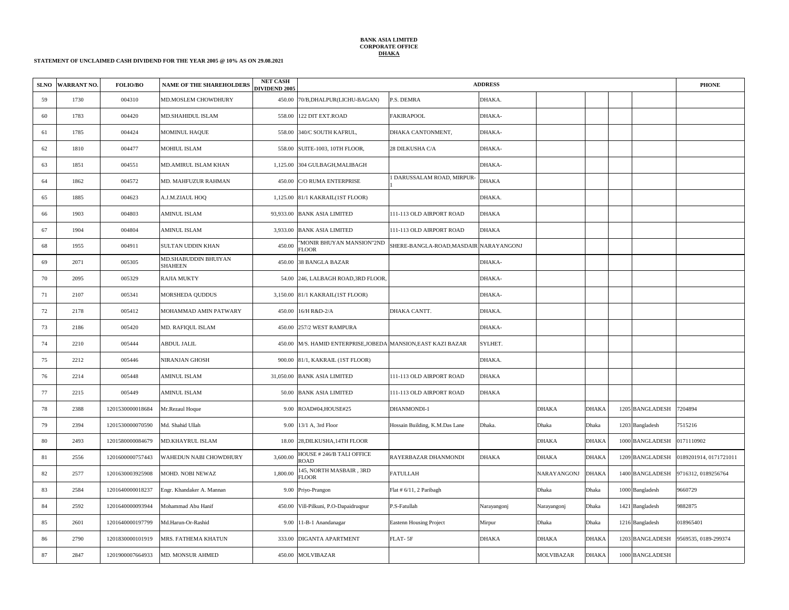| <b>SLNO</b> | <b>WARRANT NO.</b> | <b>FOLIO/BO</b>  | <b>NAME OF THE SHAREHOLDERS</b>        | <b>NET CASH</b><br><b>DIVIDEND 2005</b> | <b>ADDRESS</b>                                                |                                        |              |              |              |  |                 | <b>PHONE</b>           |
|-------------|--------------------|------------------|----------------------------------------|-----------------------------------------|---------------------------------------------------------------|----------------------------------------|--------------|--------------|--------------|--|-----------------|------------------------|
| 59          | 1730               | 004310           | MD.MOSLEM CHOWDHURY                    | 450.00                                  | 70/B,DHALPUR(LICHU-BAGAN)                                     | P.S. DEMRA                             | DHAKA.       |              |              |  |                 |                        |
| 60          | 1783               | 004420           | MD.SHAHIDUL ISLAM                      | 558.00                                  | 122 DIT EXT.ROAD                                              | <b>FAKIRAPOOL</b>                      | DHAKA-       |              |              |  |                 |                        |
| 61          | 1785               | 004424           | MOMINUL HAQUE                          |                                         | 558.00 340/C SOUTH KAFRUL,                                    | DHAKA CANTONMENT,                      | DHAKA-       |              |              |  |                 |                        |
| 62          | 1810               | 004477           | MOHIUL ISLAM                           |                                         | 558.00 SUITE-1003, 10TH FLOOR,                                | 28 DILKUSHA C/A                        | DHAKA-       |              |              |  |                 |                        |
| 63          | 1851               | 004551           | MD.AMIRUL ISLAM KHAN                   | 1,125.00                                | 304 GULBAGH, MALIBAGH                                         |                                        | DHAKA-       |              |              |  |                 |                        |
| 64          | 1862               | 004572           | MD. MAHFUZUR RAHMAN                    |                                         | 450.00 C/O RUMA ENTERPRISE                                    | DARUSSALAM ROAD, MIRPUR                | <b>DHAKA</b> |              |              |  |                 |                        |
| 65          | 1885               | 004623           | A.J.M.ZIAUL HOQ                        |                                         | 1,125.00 81/1 KAKRAIL(1ST FLOOR)                              |                                        | DHAKA.       |              |              |  |                 |                        |
| 66          | 1903               | 004803           | AMINUL ISLAM                           |                                         | 93,933.00 BANK ASIA LIMITED                                   | 111-113 OLD AIRPORT ROAD               | DHAKA        |              |              |  |                 |                        |
| 67          | 1904               | 004804           | AMINUL ISLAM                           | 3,933.00                                | <b>BANK ASIA LIMITED</b>                                      | 111-113 OLD AIRPORT ROAD               | DHAKA        |              |              |  |                 |                        |
| 68          | 1955               | 004911           | SULTAN UDDIN KHAN                      | 450.00                                  | MONIR BHUYAN MANSION"2ND<br>FLOOR                             | SHERE-BANGLA-ROAD, MASDAIR NARAYANGONJ |              |              |              |  |                 |                        |
| 69          | 2071               | 005305           | MD.SHABUDDIN BHUIYAN<br><b>SHAHEEN</b> |                                         | 450.00 38 BANGLA BAZAR                                        |                                        | DHAKA-       |              |              |  |                 |                        |
| 70          | 2095               | 005329           | <b>RAJIA MUKTY</b>                     |                                         | 54.00 246, LALBAGH ROAD, 3RD FLOOR,                           |                                        | DHAKA-       |              |              |  |                 |                        |
| 71          | 2107               | 005341           | MORSHEDA QUDDUS                        | 3,150.00                                | 81/1 KAKRAIL(1ST FLOOR)                                       |                                        | DHAKA-       |              |              |  |                 |                        |
| 72          | 2178               | 005412           | MOHAMMAD AMIN PATWARY                  |                                         | 450.00 16/H R&D-2/A                                           | DHAKA CANTT.                           | DHAKA.       |              |              |  |                 |                        |
| 73          | 2186               | 005420           | MD. RAFIQUL ISLAM                      |                                         | 450.00 257/2 WEST RAMPURA                                     |                                        | DHAKA-       |              |              |  |                 |                        |
| 74          | 2210               | 005444           | ABDUL JALIL                            |                                         | 450.00 M/S. HAMID ENTERPRISE, JOBEDA MANSION, EAST KAZI BAZAR |                                        | SYLHET.      |              |              |  |                 |                        |
| 75          | 2212               | 005446           | NIRANJAN GHOSH                         | 900.00                                  | 81/1, KAKRAIL (1ST FLOOR)                                     |                                        | DHAKA.       |              |              |  |                 |                        |
| 76          | 2214               | 005448           | AMINUL ISLAM                           |                                         | 31,050.00 BANK ASIA LIMITED                                   | 111-113 OLD AIRPORT ROAD               | DHAKA        |              |              |  |                 |                        |
| 77          | 2215               | 005449           | AMINUL ISLAM                           | 50.00                                   | <b>BANK ASIA LIMITED</b>                                      | 111-113 OLD AIRPORT ROAD               | DHAKA        |              |              |  |                 |                        |
| 78          | 2388               | 1201530000018684 | Mr.Rezaul Hoque                        | 9.00                                    | ROAD#04,HOUSE#25                                              | DHANMONDI-1                            |              | <b>DHAKA</b> | <b>DHAKA</b> |  | 1205 BANGLADESH | 7204894                |
| 79          | 2394               | 1201530000070590 | Md. Shahid Ullah                       |                                         | 9.00 13/1 A, 3rd Floor                                        | Hossain Building, K.M.Das Lane         | Dhaka.       | Dhaka        | Dhaka        |  | 1203 Bangladesh | 7515216                |
| 80          | 2493               | 1201580000084679 | MD.KHAYRUL ISLAM                       |                                         | 18.00 28, DILKUSHA, 14TH FLOOR                                |                                        |              | <b>DHAKA</b> | <b>DHAKA</b> |  | 1000 BANGLADESH | 0171110902             |
| 81          | 2556               | 1201600000757443 | WAHEDUN NABI CHOWDHURY                 | 3,600.00                                | HOUSE # 246/B TALI OFFICE<br>ROAD                             | RAYERBAZAR DHANMONDI                   | <b>DHAKA</b> | <b>DHAKA</b> | <b>DHAKA</b> |  | 1209 BANGLADESH | 0189201914, 0171721011 |
| 82          | 2577               | 1201630003925908 | MOHD. NOBI NEWAZ                       | 1,800.00                                | 145, NORTH MASBAIR, 3RD<br>FLOOR                              | FATULLAH                               |              | NARAYANGONJ  | <b>DHAKA</b> |  | 1400 BANGLADESH | 9716312, 0189256764    |
| 83          | 2584               | 1201640000018237 | Engr. Khandaker A. Mannan              | 9.00                                    | Priyo-Prangon                                                 | Flat # 6/11, 2 Paribagh                |              | Dhaka        | Dhaka        |  | 1000 Bangladesh | 9660729                |
| 84          | 2592               | 1201640000093944 | Mohammad Abu Hanif                     |                                         | 450.00 Vill-Pilkuni, P.O-Dapaidruqpur                         | P.S-Fatullah                           | Narayangonj  | Narayangonj  | Dhaka        |  | 1421 Bangladesh | 9882875                |
| 85          | 2601               | 1201640000197799 | Md.Harun-Or-Rashid                     |                                         | 9.00 11-B-1 Anandanagar                                       | <b>Eastenn Housing Project</b>         | Mirpur       | Dhaka        | Dhaka        |  | 1216 Bangladesh | 018965401              |
| 86          | 2790               | 1201830000101919 | MRS. FATHEMA KHATUN                    | 333.00                                  | DIGANTA APARTMENT                                             | FLAT-5F                                | DHAKA        | <b>DHAKA</b> | <b>DHAKA</b> |  | 1203 BANGLADESH | 9569535, 0189-299374   |
| 87          | 2847               | 1201900007664933 | MD. MONSUR AHMED                       |                                         | 450.00 MOLVIBAZAR                                             |                                        |              | MOLVIBAZAR   | <b>DHAKA</b> |  | 1000 BANGLADESH |                        |